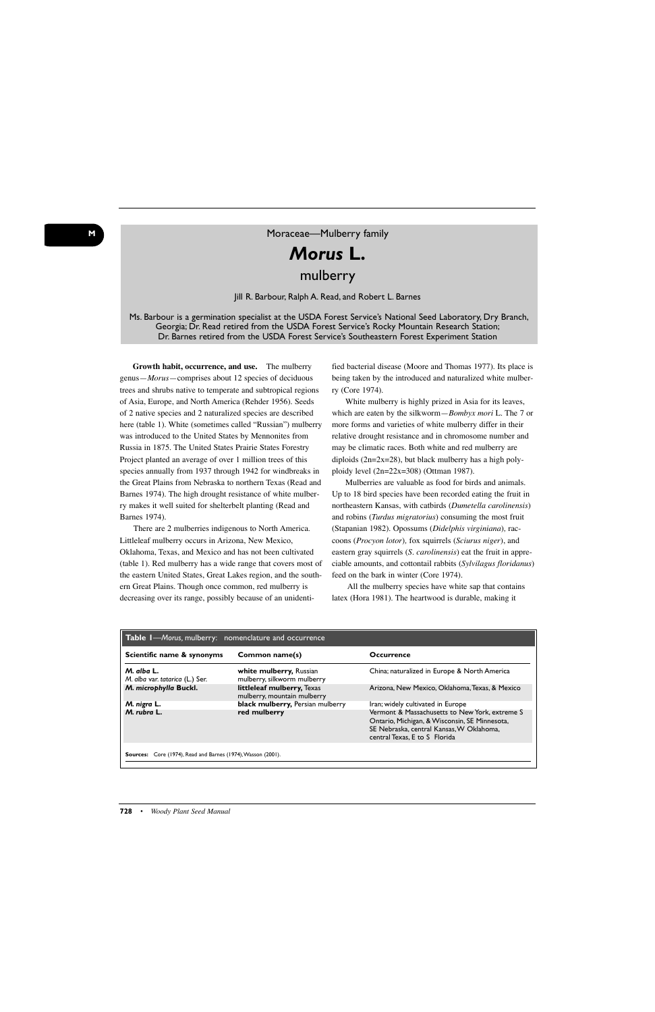## *Morus* **L.** mulberry

## Jill R. Barbour, Ralph A. Read, and Robert L. Barnes

## Ms. Barbour is a germination specialist at the USDA Forest Service's National Seed Laboratory, Dry Branch, Georgia; Dr. Read retired from the USDA Forest Service's Rocky Mountain Research Station; Dr. Barnes retired from the USDA Forest Service's Southeastern Forest Experiment Station

**Growth habit, occurrence, and use.** The mulberry genus—*Morus*—comprises about 12 species of deciduous trees and shrubs native to temperate and subtropical regions of Asia, Europe, and North America (Rehder 1956). Seeds of 2 native species and 2 naturalized species are described here (table 1). White (sometimes called "Russian") mulberry was introduced to the United States by Mennonites from Russia in 1875. The United States Prairie States Forestry Project planted an average of over 1 million trees of this species annually from 1937 through 1942 for windbreaks in the Great Plains from Nebraska to northern Texas (Read and Barnes 1974). The high drought resistance of white mulberry makes it well suited for shelterbelt planting (Read and Barnes 1974).

There are 2 mulberries indigenous to North America. Littleleaf mulberry occurs in Arizona, New Mexico, Oklahoma, Texas, and Mexico and has not been cultivated (table 1). Red mulberry has a wide range that covers most of the eastern United States, Great Lakes region, and the southern Great Plains. Though once common, red mulberry is decreasing over its range, possibly because of an unidenti-

fied bacterial disease (Moore and Thomas 1977). Its place is being taken by the introduced and naturalized white mulberry (Core 1974).

White mulberry is highly prized in Asia for its leaves, which are eaten by the silkworm—*Bombyx mori* L. The 7 or more forms and varieties of white mulberry differ in their relative drought resistance and in chromosome number and may be climatic races. Both white and red mulberry are diploids  $(2n=2x=28)$ , but black mulberry has a high polyploidy level (2n=22x=308) (Ottman 1987).

Mulberries are valuable as food for birds and animals. Up to 18 bird species have been recorded eating the fruit in northeastern Kansas, with catbirds (*Dumetella carolinensis*) and robins (*Turdus migratorius*) consuming the most fruit (Stapanian 1982). Opossums (*Didelphis virginiana*)*,* raccoons (*Procyon lotor*)*,* fox squirrels (*Sciurus niger*), and eastern gray squirrels (*S. carolinensis*) eat the fruit in appreciable amounts, and cottontail rabbits (*Sylvilagus floridanus*) feed on the bark in winter (Core 1974).

All the mulberry species have white sap that contains latex (Hora 1981). The heartwood is durable, making it

| Table I-Morus, mulberry: nomenclature and occurrence         |                                                           |                                                                                                                                                                              |
|--------------------------------------------------------------|-----------------------------------------------------------|------------------------------------------------------------------------------------------------------------------------------------------------------------------------------|
| Scientific name & synonyms                                   | Common name(s)                                            | <b>Occurrence</b>                                                                                                                                                            |
| M. alba L.<br>M. alba var. tatarica (L.) Ser.                | white mulberry, Russian<br>mulberry, silkworm mulberry    | China; naturalized in Europe & North America                                                                                                                                 |
| M. microphylla Buckl.                                        | littleleaf mulberry, Texas<br>mulberry, mountain mulberry | Arizona, New Mexico, Oklahoma, Texas, & Mexico                                                                                                                               |
| M. nigra L.                                                  | black mulberry, Persian mulberry                          | Iran; widely cultivated in Europe                                                                                                                                            |
| M. rubra L.                                                  | red mulberry                                              | Vermont & Massachusetts to New York, extreme S<br>Ontario, Michigan, & Wisconsin, SE Minnesota,<br>SE Nebraska, central Kansas, W Oklahoma,<br>central Texas, E to S Florida |
| Sources: Core (1974), Read and Barnes (1974), Wasson (2001). |                                                           |                                                                                                                                                                              |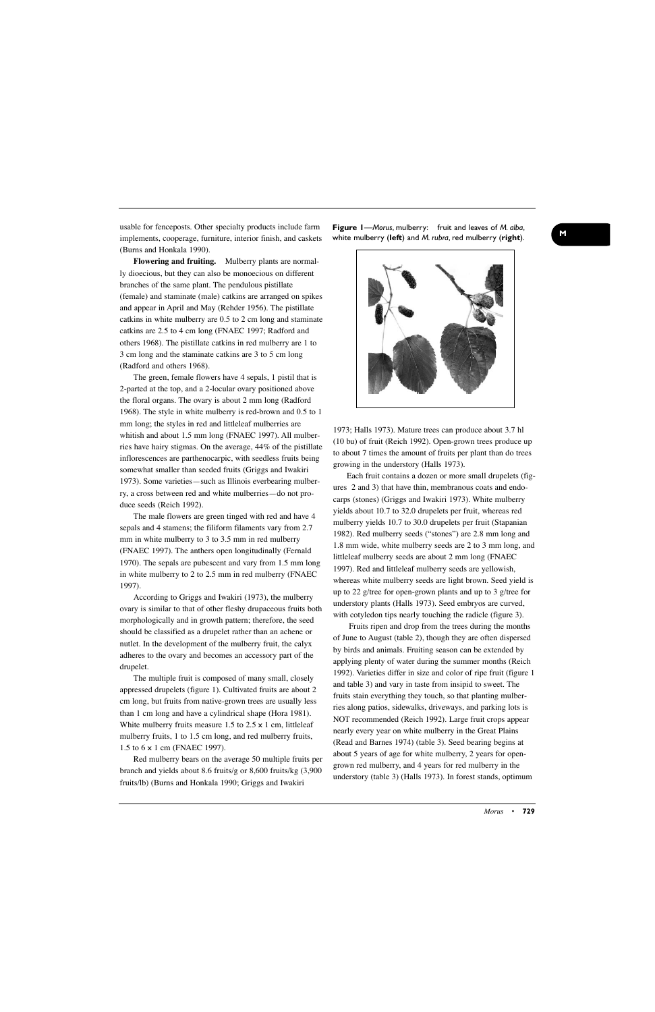usable for fenceposts. Other specialty products include farm implements, cooperage, furniture, interior finish, and caskets (Burns and Honkala 1990).

**Flowering and fruiting.** Mulberry plants are normally dioecious, but they can also be monoecious on different branches of the same plant. The pendulous pistillate (female) and staminate (male) catkins are arranged on spikes and appear in April and May (Rehder 1956). The pistillate catkins in white mulberry are 0.5 to 2 cm long and staminate catkins are 2.5 to 4 cm long (FNAEC 1997; Radford and others 1968). The pistillate catkins in red mulberry are 1 to 3 cm long and the staminate catkins are 3 to 5 cm long (Radford and others 1968).

The green, female flowers have 4 sepals, 1 pistil that is 2-parted at the top, and a 2-locular ovary positioned above the floral organs. The ovary is about 2 mm long (Radford 1968). The style in white mulberry is red-brown and 0.5 to 1 mm long; the styles in red and littleleaf mulberries are whitish and about 1.5 mm long (FNAEC 1997). All mulberries have hairy stigmas. On the average, 44% of the pistillate inflorescences are parthenocarpic, with seedless fruits being somewhat smaller than seeded fruits (Griggs and Iwakiri 1973). Some varieties—such as Illinois everbearing mulberry, a cross between red and white mulberries—do not produce seeds (Reich 1992).

The male flowers are green tinged with red and have 4 sepals and 4 stamens; the filiform filaments vary from 2.7 mm in white mulberry to 3 to 3.5 mm in red mulberry (FNAEC 1997). The anthers open longitudinally (Fernald 1970). The sepals are pubescent and vary from 1.5 mm long in white mulberry to 2 to 2.5 mm in red mulberry (FNAEC 1997).

According to Griggs and Iwakiri (1973), the mulberry ovary is similar to that of other fleshy drupaceous fruits both morphologically and in growth pattern; therefore, the seed should be classified as a drupelet rather than an achene or nutlet. In the development of the mulberry fruit, the calyx adheres to the ovary and becomes an accessory part of the drupelet.

The multiple fruit is composed of many small, closely appressed drupelets (figure 1). Cultivated fruits are about 2 cm long, but fruits from native-grown trees are usually less than 1 cm long and have a cylindrical shape (Hora 1981). White mulberry fruits measure 1.5 to  $2.5 \times 1$  cm, littleleaf mulberry fruits, 1 to 1.5 cm long, and red mulberry fruits, 1.5 to 6 x 1 cm (FNAEC 1997).

Red mulberry bears on the average 50 multiple fruits per branch and yields about 8.6 fruits/g or 8,600 fruits/kg (3,900 fruits/lb) (Burns and Honkala 1990; Griggs and Iwakiri

**<sup>M</sup> Figure 1**—*Morus*, mulberry: fruit and leaves of *M. alba*, white mulberry (**left**) and *M. rubra*, red mulberry (**right**).



1973; Halls 1973). Mature trees can produce about 3.7 hl (10 bu) of fruit (Reich 1992). Open-grown trees produce up to about 7 times the amount of fruits per plant than do trees growing in the understory (Halls 1973).

Each fruit contains a dozen or more small drupelets (figures 2 and 3) that have thin, membranous coats and endocarps (stones) (Griggs and Iwakiri 1973). White mulberry yields about 10.7 to 32.0 drupelets per fruit, whereas red mulberry yields 10.7 to 30.0 drupelets per fruit (Stapanian 1982). Red mulberry seeds ("stones") are 2.8 mm long and 1.8 mm wide, white mulberry seeds are 2 to 3 mm long, and littleleaf mulberry seeds are about 2 mm long (FNAEC 1997). Red and littleleaf mulberry seeds are yellowish, whereas white mulberry seeds are light brown. Seed yield is up to 22 g/tree for open-grown plants and up to 3 g/tree for understory plants (Halls 1973). Seed embryos are curved, with cotyledon tips nearly touching the radicle (figure 3).

Fruits ripen and drop from the trees during the months of June to August (table 2), though they are often dispersed by birds and animals. Fruiting season can be extended by applying plenty of water during the summer months (Reich 1992). Varieties differ in size and color of ripe fruit (figure 1 and table 3) and vary in taste from insipid to sweet. The fruits stain everything they touch, so that planting mulberries along patios, sidewalks, driveways, and parking lots is NOT recommended (Reich 1992). Large fruit crops appear nearly every year on white mulberry in the Great Plains (Read and Barnes 1974) (table 3). Seed bearing begins at about 5 years of age for white mulberry, 2 years for opengrown red mulberry, and 4 years for red mulberry in the understory (table 3) (Halls 1973). In forest stands, optimum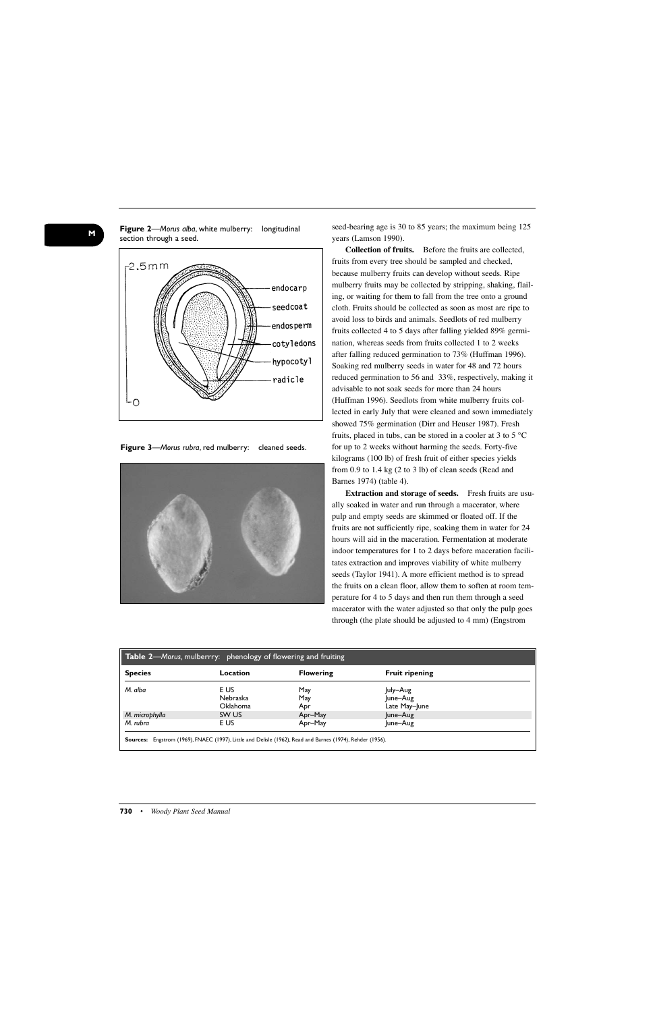

**Figure 2**—*Morus alba*, white mulberry: longitudinal

**Figure 3**—*Morus rubra*, red mulberry: cleaned seeds.



seed-bearing age is 30 to 85 years; the maximum being 125 years (Lamson 1990).

**Collection of fruits.** Before the fruits are collected, fruits from every tree should be sampled and checked, because mulberry fruits can develop without seeds. Ripe mulberry fruits may be collected by stripping, shaking, flailing, or waiting for them to fall from the tree onto a ground cloth. Fruits should be collected as soon as most are ripe to avoid loss to birds and animals. Seedlots of red mulberry fruits collected 4 to 5 days after falling yielded 89% germination, whereas seeds from fruits collected 1 to 2 weeks after falling reduced germination to 73% (Huffman 1996). Soaking red mulberry seeds in water for 48 and 72 hours reduced germination to 56 and 33%, respectively, making it advisable to not soak seeds for more than 24 hours (Huffman 1996). Seedlots from white mulberry fruits collected in early July that were cleaned and sown immediately showed 75% germination (Dirr and Heuser 1987). Fresh fruits, placed in tubs, can be stored in a cooler at 3 to 5 °C for up to 2 weeks without harming the seeds. Forty-five kilograms (100 lb) of fresh fruit of either species yields from 0.9 to 1.4 kg (2 to 3 lb) of clean seeds (Read and Barnes 1974) (table 4).

**Extraction and storage of seeds.** Fresh fruits are usually soaked in water and run through a macerator, where pulp and empty seeds are skimmed or floated off. If the fruits are not sufficiently ripe, soaking them in water for 24 hours will aid in the maceration. Fermentation at moderate indoor temperatures for 1 to 2 days before maceration facilitates extraction and improves viability of white mulberry seeds (Taylor 1941). A more efficient method is to spread the fruits on a clean floor, allow them to soften at room temperature for 4 to 5 days and then run them through a seed macerator with the water adjusted so that only the pulp goes through (the plate should be adjusted to 4 mm) (Engstrom

| <b>Species</b> | Location        | <b>Flowering</b> | <b>Fruit ripening</b> |  |
|----------------|-----------------|------------------|-----------------------|--|
| M. alba        | E US            | May              | July-Aug              |  |
|                | Nebraska        | May              | June-Aug              |  |
|                | <b>Oklahoma</b> | Apr              | Late May-June         |  |
| M. microphylla | SW US           | Apr-May          | June-Aug              |  |
| M. rubra       | E US            | Apr-May          | June-Aug              |  |

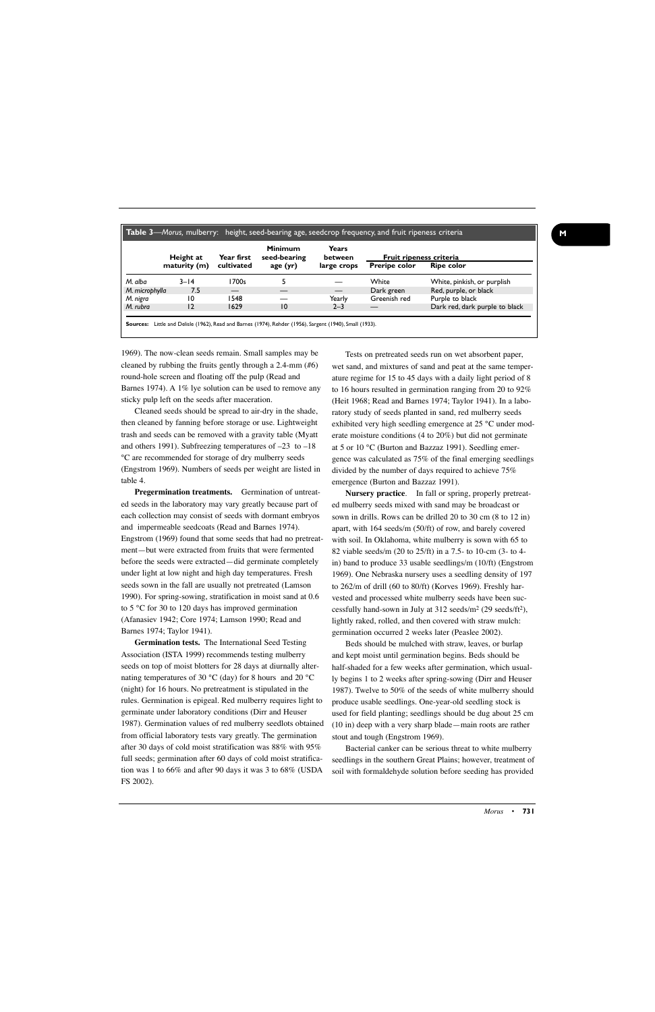|                | Height at    | Year first<br>cultivated | Minimum<br>seed-bearing<br>age $(yr)$ | Years<br>between<br>large crops | Fruit ripeness criteria |                                |
|----------------|--------------|--------------------------|---------------------------------------|---------------------------------|-------------------------|--------------------------------|
|                | maturity (m) |                          |                                       |                                 | <b>Preripe color</b>    | <b>Ripe color</b>              |
| M. alba        | $3 - 14$     | 1700s                    |                                       |                                 | White                   | White, pinkish, or purplish    |
| M. microphylla | 7.5          | —                        |                                       | $\hspace{0.05cm}$               | Dark green              | Red, purple, or black          |
| M. nigra       | 10           | 1548                     |                                       | Yearly                          | Greenish red            | Purple to black                |
| M. rubra       | 12           | 1629                     | 10                                    | $2 - 3$                         |                         | Dark red, dark purple to black |

1969). The now-clean seeds remain. Small samples may be cleaned by rubbing the fruits gently through a 2.4-mm (#6) round-hole screen and floating off the pulp (Read and Barnes 1974). A 1% lye solution can be used to remove any sticky pulp left on the seeds after maceration.

Cleaned seeds should be spread to air-dry in the shade, then cleaned by fanning before storage or use. Lightweight trash and seeds can be removed with a gravity table (Myatt and others 1991). Subfreezing temperatures of –23 to –18 °C are recommended for storage of dry mulberry seeds (Engstrom 1969). Numbers of seeds per weight are listed in table 4.

**Pregermination treatments.** Germination of untreated seeds in the laboratory may vary greatly because part of each collection may consist of seeds with dormant embryos and impermeable seedcoats (Read and Barnes 1974). Engstrom (1969) found that some seeds that had no pretreatment—but were extracted from fruits that were fermented before the seeds were extracted—did germinate completely under light at low night and high day temperatures. Fresh seeds sown in the fall are usually not pretreated (Lamson 1990). For spring-sowing, stratification in moist sand at 0.6 to 5 °C for 30 to 120 days has improved germination (Afanasiev 1942; Core 1974; Lamson 1990; Read and Barnes 1974; Taylor 1941).

**Germination tests.** The International Seed Testing Association (ISTA 1999) recommends testing mulberry seeds on top of moist blotters for 28 days at diurnally alternating temperatures of 30 °C (day) for 8 hours and 20 °C (night) for 16 hours. No pretreatment is stipulated in the rules. Germination is epigeal. Red mulberry requires light to germinate under laboratory conditions (Dirr and Heuser 1987). Germination values of red mulberry seedlots obtained from official laboratory tests vary greatly. The germination after 30 days of cold moist stratification was 88% with 95% full seeds; germination after 60 days of cold moist stratification was 1 to 66% and after 90 days it was 3 to 68% (USDA FS 2002).

Tests on pretreated seeds run on wet absorbent paper, wet sand, and mixtures of sand and peat at the same temperature regime for 15 to 45 days with a daily light period of 8 to 16 hours resulted in germination ranging from 20 to 92% (Heit 1968; Read and Barnes 1974; Taylor 1941). In a laboratory study of seeds planted in sand, red mulberry seeds exhibited very high seedling emergence at 25 °C under moderate moisture conditions (4 to 20%) but did not germinate at 5 or 10 °C (Burton and Bazzaz 1991). Seedling emergence was calculated as 75% of the final emerging seedlings divided by the number of days required to achieve 75% emergence (Burton and Bazzaz 1991).

**Nursery practice**. In fall or spring, properly pretreated mulberry seeds mixed with sand may be broadcast or sown in drills. Rows can be drilled 20 to 30 cm (8 to 12 in) apart, with 164 seeds/m (50/ft) of row, and barely covered with soil. In Oklahoma, white mulberry is sown with 65 to 82 viable seeds/m (20 to 25/ft) in a 7.5- to 10-cm (3- to 4 in) band to produce 33 usable seedlings/m (10/ft) (Engstrom 1969). One Nebraska nursery uses a seedling density of 197 to 262/m of drill (60 to 80/ft) (Korves 1969). Freshly harvested and processed white mulberry seeds have been successfully hand-sown in July at 312 seeds/m2 (29 seeds/ft2), lightly raked, rolled, and then covered with straw mulch: germination occurred 2 weeks later (Peaslee 2002).

Beds should be mulched with straw, leaves, or burlap and kept moist until germination begins. Beds should be half-shaded for a few weeks after germination, which usually begins 1 to 2 weeks after spring-sowing (Dirr and Heuser 1987). Twelve to 50% of the seeds of white mulberry should produce usable seedlings. One-year-old seedling stock is used for field planting; seedlings should be dug about 25 cm (10 in) deep with a very sharp blade—main roots are rather stout and tough (Engstrom 1969).

Bacterial canker can be serious threat to white mulberry seedlings in the southern Great Plains; however, treatment of soil with formaldehyde solution before seeding has provided